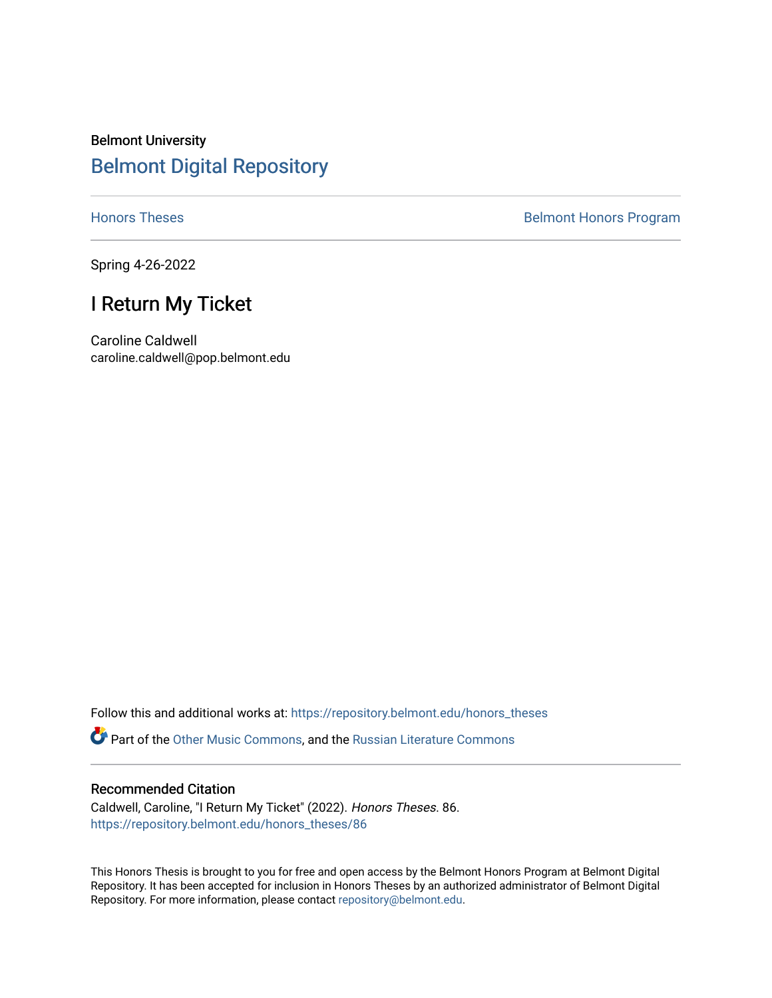# Belmont University [Belmont Digital Repository](https://repository.belmont.edu/)

[Honors Theses](https://repository.belmont.edu/honors_theses) **Belmont Honors Program** 

Spring 4-26-2022

# I Return My Ticket

Caroline Caldwell caroline.caldwell@pop.belmont.edu

Follow this and additional works at: [https://repository.belmont.edu/honors\\_theses](https://repository.belmont.edu/honors_theses?utm_source=repository.belmont.edu%2Fhonors_theses%2F86&utm_medium=PDF&utm_campaign=PDFCoverPages) 

**C** Part of the [Other Music Commons,](http://network.bepress.com/hgg/discipline/524?utm_source=repository.belmont.edu%2Fhonors_theses%2F86&utm_medium=PDF&utm_campaign=PDFCoverPages) and the Russian Literature Commons

## Recommended Citation

Caldwell, Caroline, "I Return My Ticket" (2022). Honors Theses. 86. [https://repository.belmont.edu/honors\\_theses/86](https://repository.belmont.edu/honors_theses/86?utm_source=repository.belmont.edu%2Fhonors_theses%2F86&utm_medium=PDF&utm_campaign=PDFCoverPages)

This Honors Thesis is brought to you for free and open access by the Belmont Honors Program at Belmont Digital Repository. It has been accepted for inclusion in Honors Theses by an authorized administrator of Belmont Digital Repository. For more information, please contact [repository@belmont.edu.](mailto:repository@belmont.edu)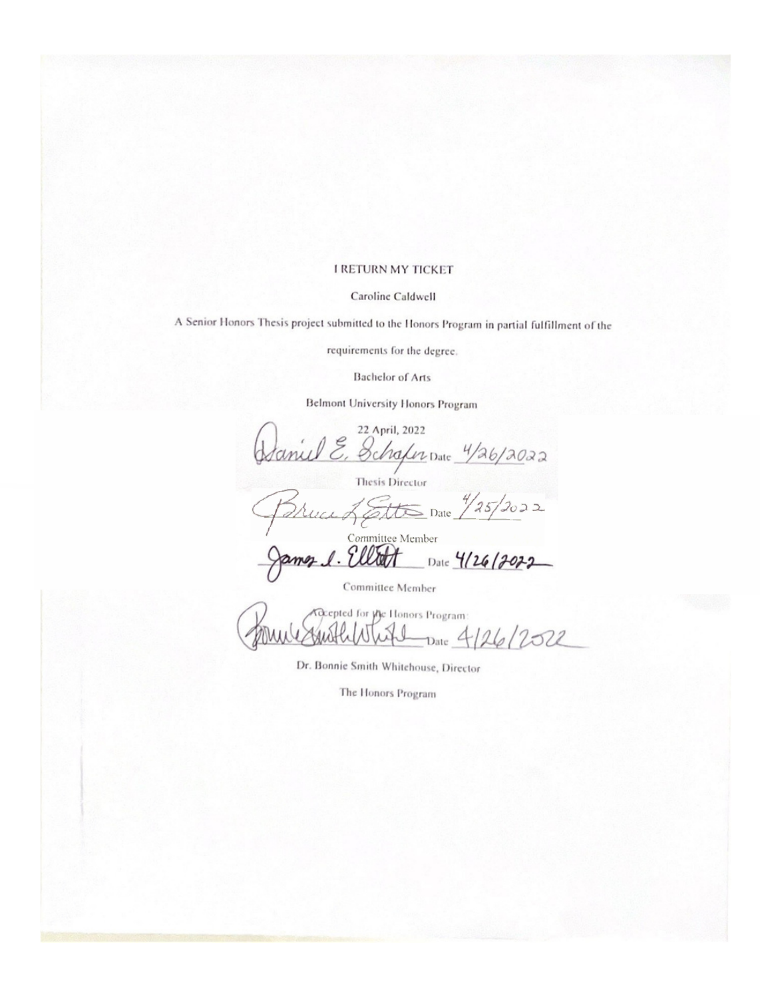### **I RETURN MY TICKET**

#### Caroline Caldwell

A Senior Honors Thesis project submitted to the Honors Program in partial fulfillment of the

requirements for the degree.

**Bachelor of Arts** 

Belmont University Honors Program

22 April, 2022 Schafer Date 4/26/2022 Thesis Director  $\frac{2}{100}$  Date  $\frac{4}{25}$  2022 Committee Member Date 4/26/2022 1017

Committee Member

**Geopted for yhe Honors Program:** Date 4/26/2022

Dr. Bonnie Smith Whitehouse, Director

The Honors Program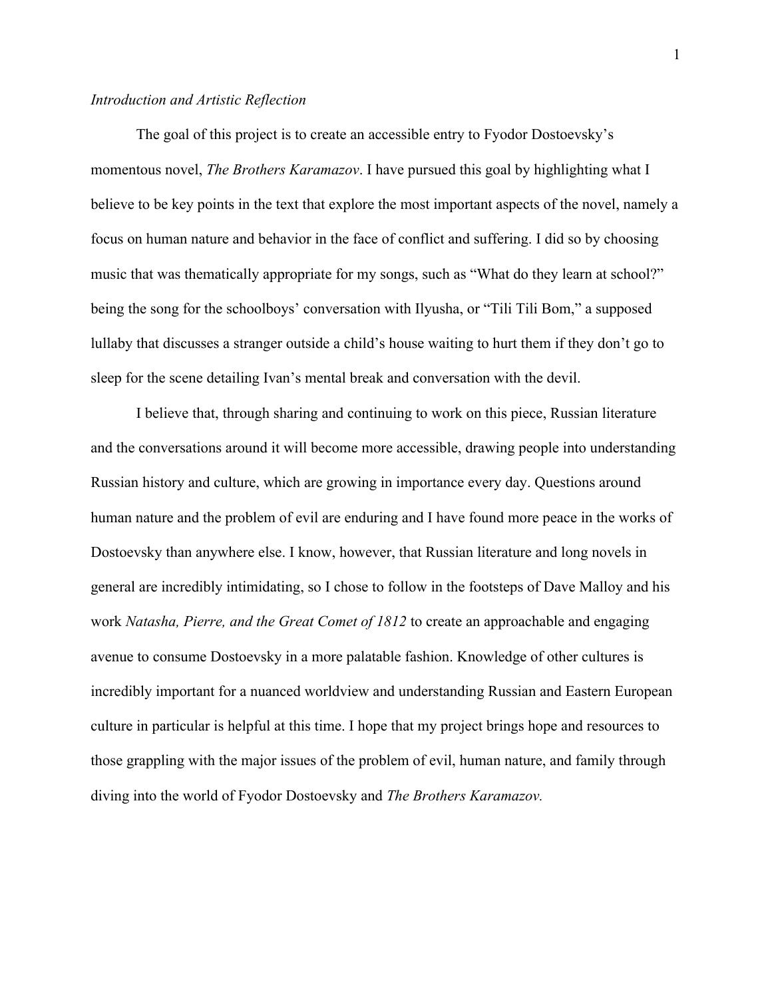## *Introduction and Artistic Reflection*

The goal of this project is to create an accessible entry to Fyodor Dostoevsky's momentous novel, *The Brothers Karamazov*. I have pursued this goal by highlighting what I believe to be key points in the text that explore the most important aspects of the novel, namely a focus on human nature and behavior in the face of conflict and suffering. I did so by choosing music that was thematically appropriate for my songs, such as "What do they learn at school?" being the song for the schoolboys' conversation with Ilyusha, or "Tili Tili Bom," a supposed lullaby that discusses a stranger outside a child's house waiting to hurt them if they don't go to sleep for the scene detailing Ivan's mental break and conversation with the devil.

I believe that, through sharing and continuing to work on this piece, Russian literature and the conversations around it will become more accessible, drawing people into understanding Russian history and culture, which are growing in importance every day. Questions around human nature and the problem of evil are enduring and I have found more peace in the works of Dostoevsky than anywhere else. I know, however, that Russian literature and long novels in general are incredibly intimidating, so I chose to follow in the footsteps of Dave Malloy and his work *Natasha, Pierre, and the Great Comet of 1812* to create an approachable and engaging avenue to consume Dostoevsky in a more palatable fashion. Knowledge of other cultures is incredibly important for a nuanced worldview and understanding Russian and Eastern European culture in particular is helpful at this time. I hope that my project brings hope and resources to those grappling with the major issues of the problem of evil, human nature, and family through diving into the world of Fyodor Dostoevsky and *The Brothers Karamazov.*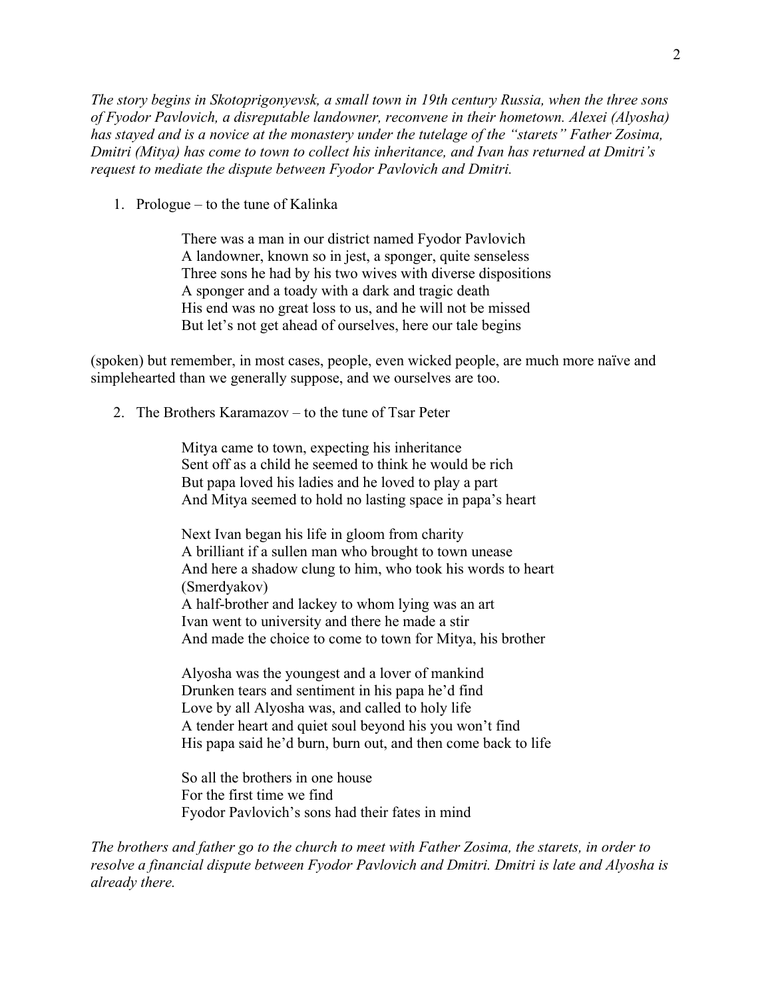*The story begins in Skotoprigonyevsk, a small town in 19th century Russia, when the three sons of Fyodor Pavlovich, a disreputable landowner, reconvene in their hometown. Alexei (Alyosha) has stayed and is a novice at the monastery under the tutelage of the "starets" Father Zosima, Dmitri (Mitya) has come to town to collect his inheritance, and Ivan has returned at Dmitri's request to mediate the dispute between Fyodor Pavlovich and Dmitri.*

1. Prologue – to the tune of Kalinka

There was a man in our district named Fyodor Pavlovich A landowner, known so in jest, a sponger, quite senseless Three sons he had by his two wives with diverse dispositions A sponger and a toady with a dark and tragic death His end was no great loss to us, and he will not be missed But let's not get ahead of ourselves, here our tale begins

(spoken) but remember, in most cases, people, even wicked people, are much more naïve and simplehearted than we generally suppose, and we ourselves are too.

2. The Brothers Karamazov – to the tune of Tsar Peter

Mitya came to town, expecting his inheritance Sent off as a child he seemed to think he would be rich But papa loved his ladies and he loved to play a part And Mitya seemed to hold no lasting space in papa's heart

Next Ivan began his life in gloom from charity A brilliant if a sullen man who brought to town unease And here a shadow clung to him, who took his words to heart (Smerdyakov) A half-brother and lackey to whom lying was an art Ivan went to university and there he made a stir And made the choice to come to town for Mitya, his brother

Alyosha was the youngest and a lover of mankind Drunken tears and sentiment in his papa he'd find Love by all Alyosha was, and called to holy life A tender heart and quiet soul beyond his you won't find His papa said he'd burn, burn out, and then come back to life

So all the brothers in one house For the first time we find Fyodor Pavlovich's sons had their fates in mind

*The brothers and father go to the church to meet with Father Zosima, the starets, in order to resolve a financial dispute between Fyodor Pavlovich and Dmitri. Dmitri is late and Alyosha is already there.*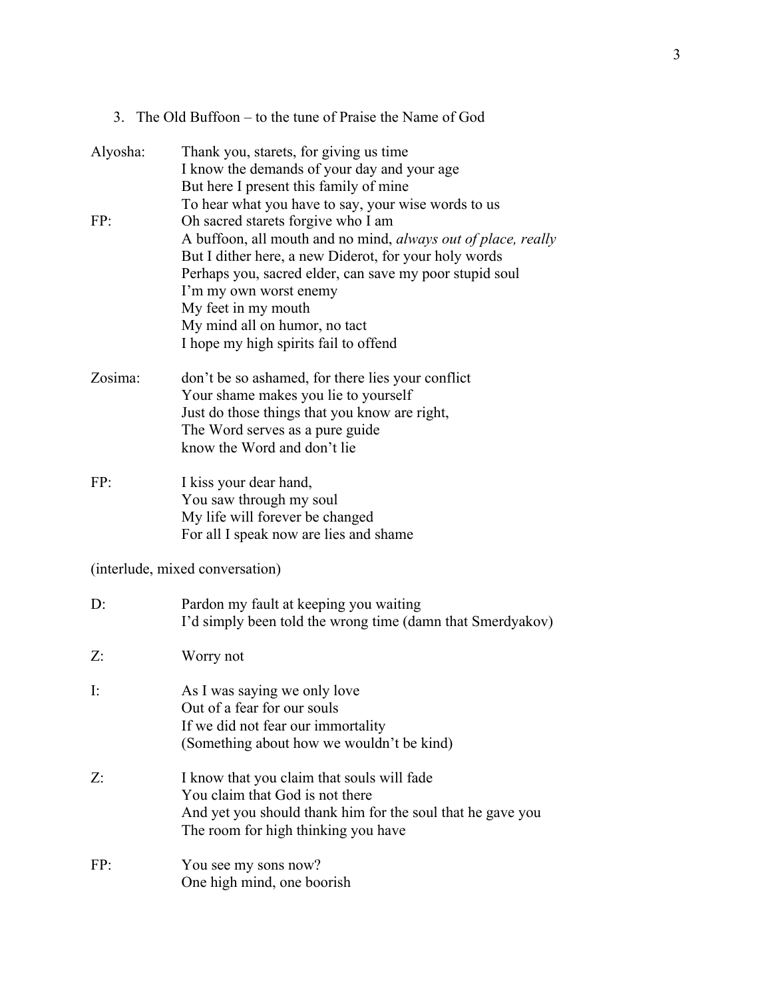|  | 3. The Old Buffoon – to the tune of Praise the Name of God |  |  |  |  |
|--|------------------------------------------------------------|--|--|--|--|
|--|------------------------------------------------------------|--|--|--|--|

| Alyosha:       | Thank you, starets, for giving us time<br>I know the demands of your day and your age<br>But here I present this family of mine<br>To hear what you have to say, your wise words to us                                                                                                                                                                            |
|----------------|-------------------------------------------------------------------------------------------------------------------------------------------------------------------------------------------------------------------------------------------------------------------------------------------------------------------------------------------------------------------|
| FP:            | Oh sacred starets forgive who I am<br>A buffoon, all mouth and no mind, <i>always out of place</i> , <i>really</i><br>But I dither here, a new Diderot, for your holy words<br>Perhaps you, sacred elder, can save my poor stupid soul<br>I'm my own worst enemy<br>My feet in my mouth<br>My mind all on humor, no tact<br>I hope my high spirits fail to offend |
| Zosima:        | don't be so ashamed, for there lies your conflict<br>Your shame makes you lie to yourself<br>Just do those things that you know are right,<br>The Word serves as a pure guide<br>know the Word and don't lie                                                                                                                                                      |
| FP:            | I kiss your dear hand,<br>You saw through my soul<br>My life will forever be changed<br>For all I speak now are lies and shame                                                                                                                                                                                                                                    |
|                | (interlude, mixed conversation)                                                                                                                                                                                                                                                                                                                                   |
| $D$ :          | Pardon my fault at keeping you waiting<br>I'd simply been told the wrong time (damn that Smerdyakov)                                                                                                                                                                                                                                                              |
| Z:             | Worry not                                                                                                                                                                                                                                                                                                                                                         |
| $\mathbf{I}$ : | As I was saying we only love<br>Out of a fear for our souls<br>If we did not fear our immortality<br>(Something about how we wouldn't be kind)                                                                                                                                                                                                                    |
| Z:             | I know that you claim that souls will fade<br>You claim that God is not there<br>And yet you should thank him for the soul that he gave you<br>The room for high thinking you have                                                                                                                                                                                |
| FP:            | You see my sons now?<br>One high mind, one boorish                                                                                                                                                                                                                                                                                                                |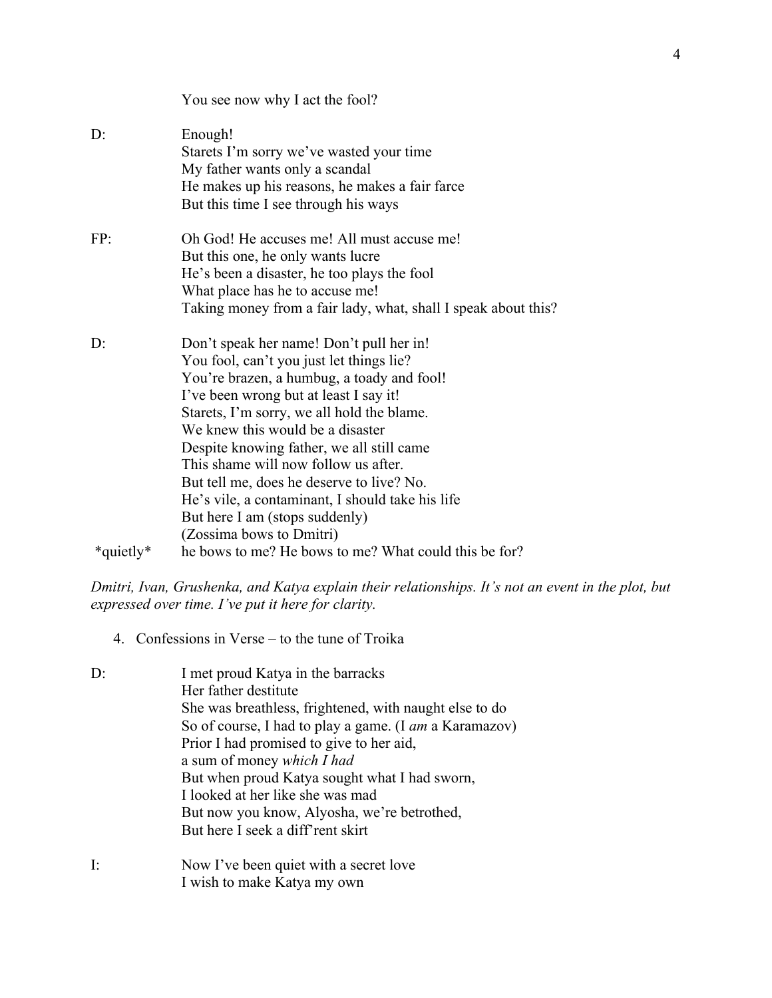|           | You see now why I act the fool?                                                                                                                                                                                                                                                                                                                                                                                                                                                                                    |
|-----------|--------------------------------------------------------------------------------------------------------------------------------------------------------------------------------------------------------------------------------------------------------------------------------------------------------------------------------------------------------------------------------------------------------------------------------------------------------------------------------------------------------------------|
| D:        | Enough!<br>Starets I'm sorry we've wasted your time<br>My father wants only a scandal<br>He makes up his reasons, he makes a fair farce<br>But this time I see through his ways                                                                                                                                                                                                                                                                                                                                    |
| FP:       | Oh God! He accuses me! All must accuse me!<br>But this one, he only wants lucre<br>He's been a disaster, he too plays the fool<br>What place has he to accuse me!<br>Taking money from a fair lady, what, shall I speak about this?                                                                                                                                                                                                                                                                                |
| D:        | Don't speak her name! Don't pull her in!<br>You fool, can't you just let things lie?<br>You're brazen, a humbug, a toady and fool!<br>I've been wrong but at least I say it!<br>Starets, I'm sorry, we all hold the blame.<br>We knew this would be a disaster<br>Despite knowing father, we all still came<br>This shame will now follow us after.<br>But tell me, does he deserve to live? No.<br>He's vile, a contaminant, I should take his life<br>But here I am (stops suddenly)<br>(Zossima bows to Dmitri) |
| *quietly* | he bows to me? He bows to me? What could this be for?                                                                                                                                                                                                                                                                                                                                                                                                                                                              |

*Dmitri, Ivan, Grushenka, and Katya explain their relationships. It's not an event in the plot, but expressed over time. I've put it here for clarity.* 

4. Confessions in Verse – to the tune of Troika

| I met proud Katya in the barracks                      |
|--------------------------------------------------------|
| Her father destitute                                   |
| She was breathless, frightened, with naught else to do |
| So of course, I had to play a game. (I am a Karamazov) |
| Prior I had promised to give to her aid,               |
| a sum of money which I had                             |
| But when proud Katya sought what I had sworn,          |
| I looked at her like she was mad                       |
| But now you know, Alyosha, we're betrothed,            |
| But here I seek a diff'rent skirt                      |
| Now I've been quiet with a secret love                 |
|                                                        |

I wish to make Katya my own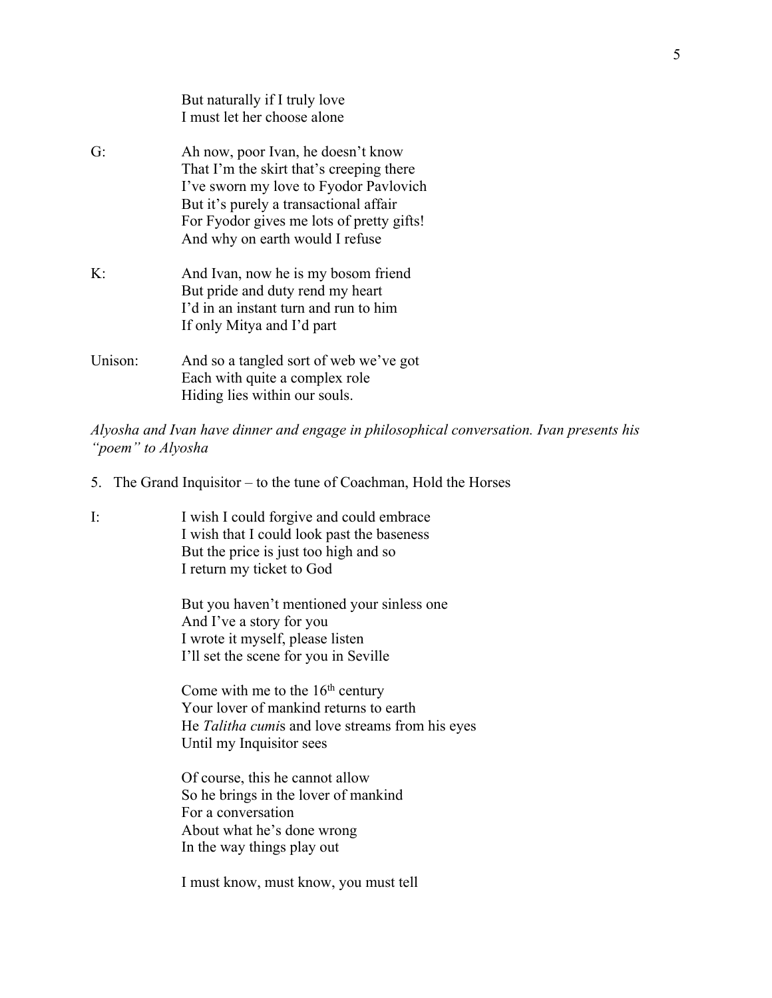|              | But naturally if I truly love<br>I must let her choose alone                                                                                                                                                                                       |
|--------------|----------------------------------------------------------------------------------------------------------------------------------------------------------------------------------------------------------------------------------------------------|
| G:           | Ah now, poor Ivan, he doesn't know<br>That I'm the skirt that's creeping there<br>I've sworn my love to Fyodor Pavlovich<br>But it's purely a transactional affair<br>For Fyodor gives me lots of pretty gifts!<br>And why on earth would I refuse |
| $\mathbf{K}$ | And Ivan, now he is my bosom friend<br>But pride and duty rend my heart<br>I'd in an instant turn and run to him<br>If only Mitya and I'd part                                                                                                     |
| Unison:      | And so a tangled sort of web we've got<br>Each with quite a complex role<br>Hiding lies within our souls.                                                                                                                                          |

*Alyosha and Ivan have dinner and engage in philosophical conversation. Ivan presents his "poem" to Alyosha* 

- 5. The Grand Inquisitor to the tune of Coachman, Hold the Horses
- I: I wish I could forgive and could embrace I wish that I could look past the baseness But the price is just too high and so I return my ticket to God

But you haven't mentioned your sinless one And I've a story for you I wrote it myself, please listen I'll set the scene for you in Seville

Come with me to the  $16<sup>th</sup>$  century Your lover of mankind returns to earth He *Talitha cumi*s and love streams from his eyes Until my Inquisitor sees

Of course, this he cannot allow So he brings in the lover of mankind For a conversation About what he's done wrong In the way things play out

I must know, must know, you must tell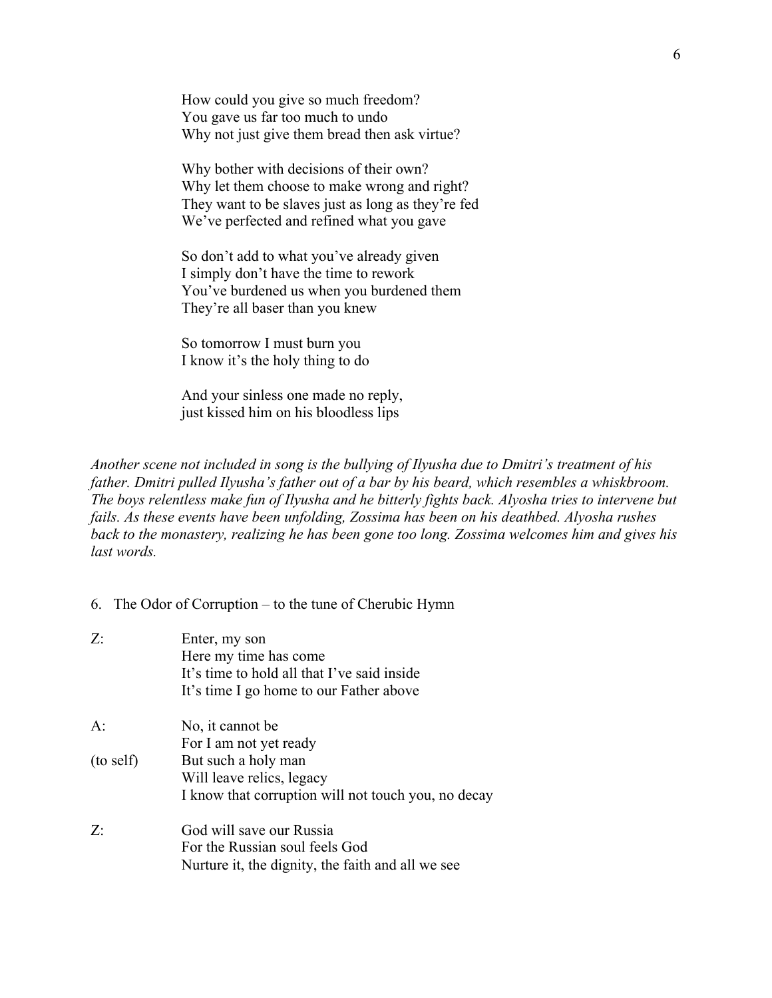How could you give so much freedom? You gave us far too much to undo Why not just give them bread then ask virtue?

Why bother with decisions of their own? Why let them choose to make wrong and right? They want to be slaves just as long as they're fed We've perfected and refined what you gave

So don't add to what you've already given I simply don't have the time to rework You've burdened us when you burdened them They're all baser than you knew

So tomorrow I must burn you I know it's the holy thing to do

And your sinless one made no reply, just kissed him on his bloodless lips

*Another scene not included in song is the bullying of Ilyusha due to Dmitri's treatment of his father. Dmitri pulled Ilyusha's father out of a bar by his beard, which resembles a whiskbroom. The boys relentless make fun of Ilyusha and he bitterly fights back. Alyosha tries to intervene but fails. As these events have been unfolding, Zossima has been on his deathbed. Alyosha rushes back to the monastery, realizing he has been gone too long. Zossima welcomes him and gives his last words.* 

6. The Odor of Corruption – to the tune of Cherubic Hymn

| Z:        | Enter, my son                                       |
|-----------|-----------------------------------------------------|
|           | Here my time has come                               |
|           | It's time to hold all that I've said inside         |
|           | It's time I go home to our Father above             |
| A:        | No, it cannot be                                    |
|           | For I am not yet ready                              |
| (to self) | But such a holy man                                 |
|           | Will leave relics, legacy                           |
|           | I know that corruption will not touch you, no decay |
| Z:        | God will save our Russia                            |
|           | For the Russian soul feels God                      |
|           | Nurture it, the dignity, the faith and all we see   |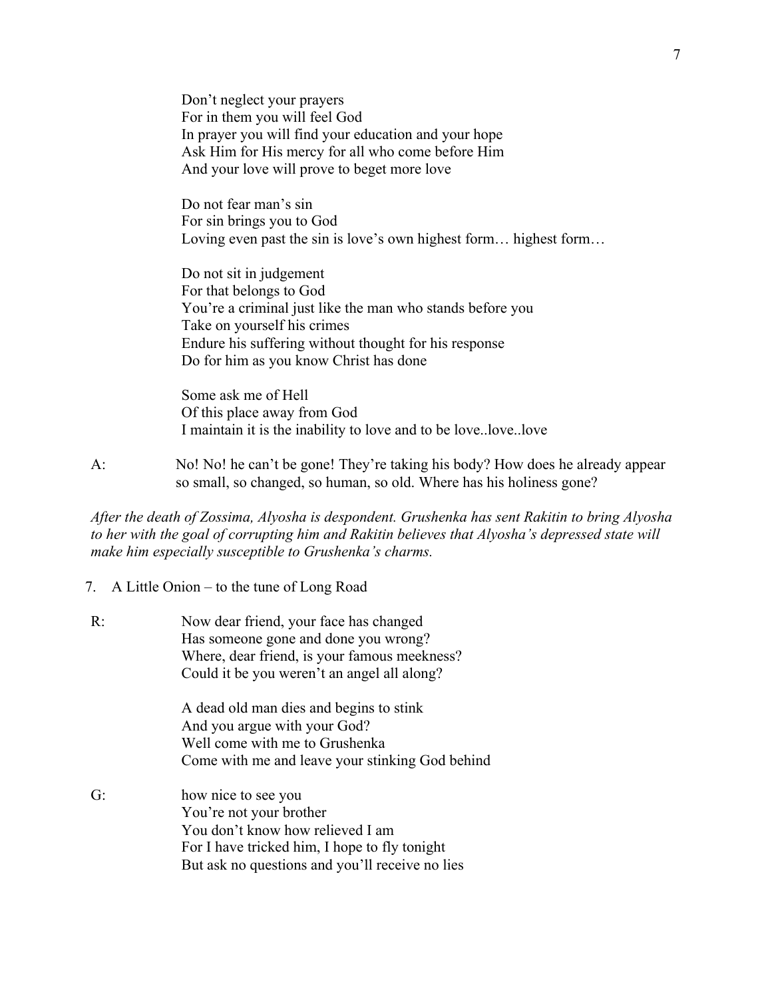Don't neglect your prayers For in them you will feel God In prayer you will find your education and your hope Ask Him for His mercy for all who come before Him And your love will prove to beget more love

Do not fear man's sin For sin brings you to God Loving even past the sin is love's own highest form… highest form…

Do not sit in judgement For that belongs to God You're a criminal just like the man who stands before you Take on yourself his crimes Endure his suffering without thought for his response Do for him as you know Christ has done

Some ask me of Hell Of this place away from God I maintain it is the inability to love and to be love..love..love

A: No! No! he can't be gone! They're taking his body? How does he already appear so small, so changed, so human, so old. Where has his holiness gone?

*After the death of Zossima, Alyosha is despondent. Grushenka has sent Rakitin to bring Alyosha to her with the goal of corrupting him and Rakitin believes that Alyosha's depressed state will make him especially susceptible to Grushenka's charms.* 

7. A Little Onion – to the tune of Long Road

| R: | Now dear friend, your face has changed<br>Has someone gone and done you wrong?<br>Where, dear friend, is your famous meekness?<br>Could it be you weren't an angel all along?          |
|----|----------------------------------------------------------------------------------------------------------------------------------------------------------------------------------------|
|    | A dead old man dies and begins to stink<br>And you argue with your God?<br>Well come with me to Grushenka<br>Come with me and leave your stinking God behind                           |
| G: | how nice to see you<br>You're not your brother<br>You don't know how relieved I am<br>For I have tricked him, I hope to fly tonight<br>But ask no questions and you'll receive no lies |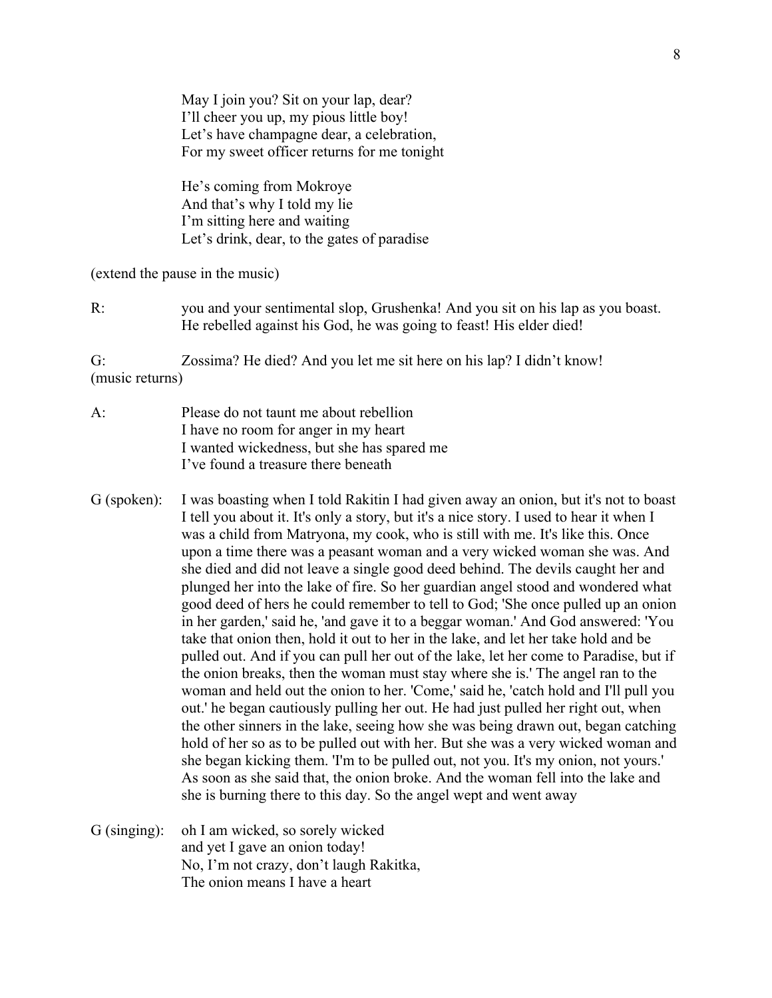May I join you? Sit on your lap, dear? I'll cheer you up, my pious little boy! Let's have champagne dear, a celebration, For my sweet officer returns for me tonight

He's coming from Mokroye And that's why I told my lie I'm sitting here and waiting Let's drink, dear, to the gates of paradise

(extend the pause in the music)

R: you and your sentimental slop, Grushenka! And you sit on his lap as you boast. He rebelled against his God, he was going to feast! His elder died!

G: Zossima? He died? And you let me sit here on his lap? I didn't know! (music returns)

- A: Please do not taunt me about rebellion I have no room for anger in my heart I wanted wickedness, but she has spared me I've found a treasure there beneath
- G (spoken): I was boasting when I told Rakitin I had given away an onion, but it's not to boast I tell you about it. It's only a story, but it's a nice story. I used to hear it when I was a child from Matryona, my cook, who is still with me. It's like this. Once upon a time there was a peasant woman and a very wicked woman she was. And she died and did not leave a single good deed behind. The devils caught her and plunged her into the lake of fire. So her guardian angel stood and wondered what good deed of hers he could remember to tell to God; 'She once pulled up an onion in her garden,' said he, 'and gave it to a beggar woman.' And God answered: 'You take that onion then, hold it out to her in the lake, and let her take hold and be pulled out. And if you can pull her out of the lake, let her come to Paradise, but if the onion breaks, then the woman must stay where she is.' The angel ran to the woman and held out the onion to her. 'Come,' said he, 'catch hold and I'll pull you out.' he began cautiously pulling her out. He had just pulled her right out, when the other sinners in the lake, seeing how she was being drawn out, began catching hold of her so as to be pulled out with her. But she was a very wicked woman and she began kicking them. 'I'm to be pulled out, not you. It's my onion, not yours.' As soon as she said that, the onion broke. And the woman fell into the lake and she is burning there to this day. So the angel wept and went away
- G (singing): oh I am wicked, so sorely wicked and yet I gave an onion today! No, I'm not crazy, don't laugh Rakitka, The onion means I have a heart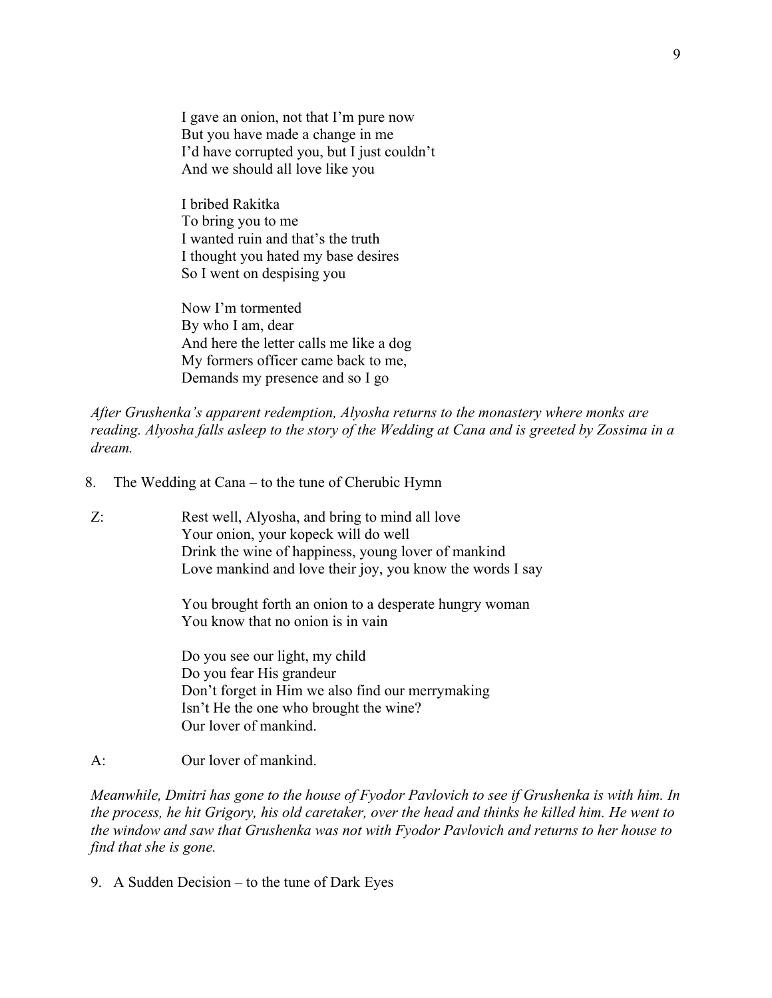I gave an onion, not that I'm pure now But you have made a change in me I'd have corrupted you, but I just couldn't And we should all love like you

I bribed Rakitka To bring you to me I wanted ruin and that's the truth I thought you hated my base desires So I went on despising you

Now I'm tormented By who I am, dear And here the letter calls me like a dog My formers officer came back to me, Demands my presence and so I go

*After Grushenka's apparent redemption, Alyosha returns to the monastery where monks are reading. Alyosha falls asleep to the story of the Wedding at Cana and is greeted by Zossima in a dream.*

- 8. The Wedding at Cana to the tune of Cherubic Hymn
- Z: Rest well, Alyosha, and bring to mind all love Your onion, your kopeck will do well Drink the wine of happiness, young lover of mankind Love mankind and love their joy, you know the words I say

You brought forth an onion to a desperate hungry woman You know that no onion is in vain

Do you see our light, my child Do you fear His grandeur Don't forget in Him we also find our merrymaking Isn't He the one who brought the wine? Our lover of mankind.

## A: Our lover of mankind.

*Meanwhile, Dmitri has gone to the house of Fyodor Pavlovich to see if Grushenka is with him. In the process, he hit Grigory, his old caretaker, over the head and thinks he killed him. He went to the window and saw that Grushenka was not with Fyodor Pavlovich and returns to her house to find that she is gone.* 

9. A Sudden Decision – to the tune of Dark Eyes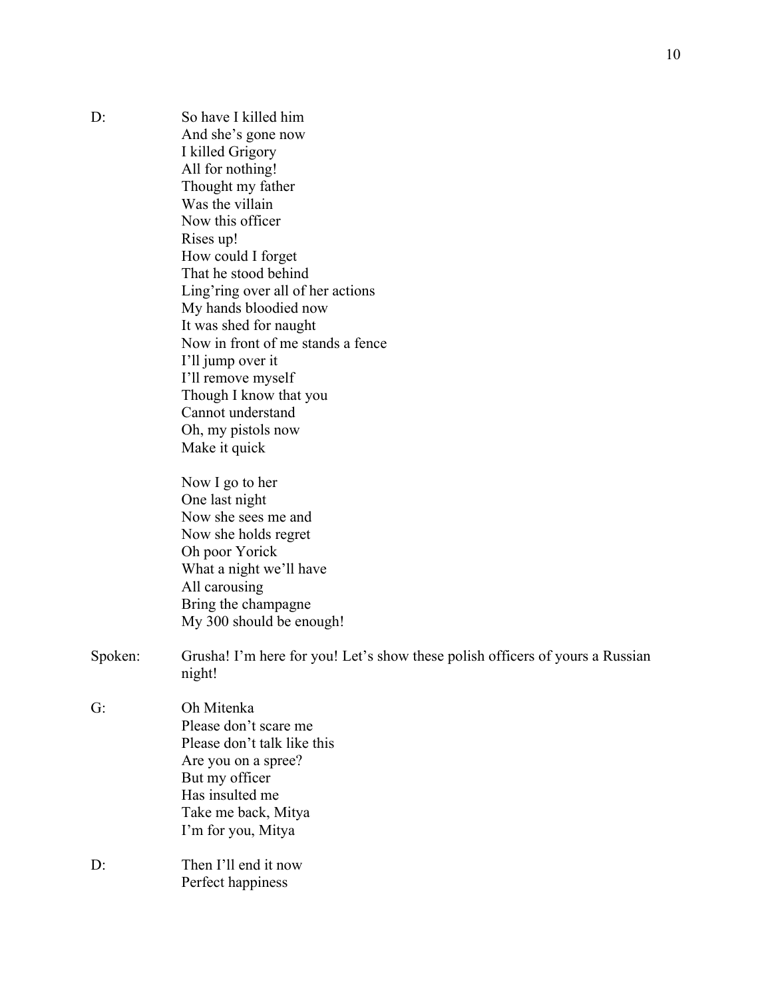| D:      | So have I killed him                                                          |
|---------|-------------------------------------------------------------------------------|
|         | And she's gone now                                                            |
|         | I killed Grigory                                                              |
|         | All for nothing!                                                              |
|         | Thought my father                                                             |
|         | Was the villain                                                               |
|         | Now this officer                                                              |
|         | Rises up!                                                                     |
|         | How could I forget                                                            |
|         | That he stood behind                                                          |
|         | Ling'ring over all of her actions                                             |
|         | My hands bloodied now                                                         |
|         | It was shed for naught                                                        |
|         | Now in front of me stands a fence                                             |
|         | I'll jump over it                                                             |
|         | I'll remove myself                                                            |
|         | Though I know that you                                                        |
|         | Cannot understand                                                             |
|         | Oh, my pistols now                                                            |
|         | Make it quick                                                                 |
|         |                                                                               |
|         | Now I go to her                                                               |
|         | One last night                                                                |
|         | Now she sees me and                                                           |
|         | Now she holds regret                                                          |
|         | Oh poor Yorick                                                                |
|         | What a night we'll have                                                       |
|         | All carousing                                                                 |
|         | Bring the champagne                                                           |
|         | My 300 should be enough!                                                      |
|         |                                                                               |
| Spoken: | Grusha! I'm here for you! Let's show these polish officers of yours a Russian |
|         | night!                                                                        |
|         |                                                                               |
| G:      | Oh Mitenka                                                                    |
|         | Please don't scare me                                                         |
|         | Please don't talk like this                                                   |
|         | Are you on a spree?                                                           |
|         | But my officer                                                                |
|         | Has insulted me                                                               |
|         | Take me back, Mitya                                                           |
|         | I'm for you, Mitya                                                            |
|         |                                                                               |
| D:      | Then I'll end it now                                                          |
|         | Perfect happiness                                                             |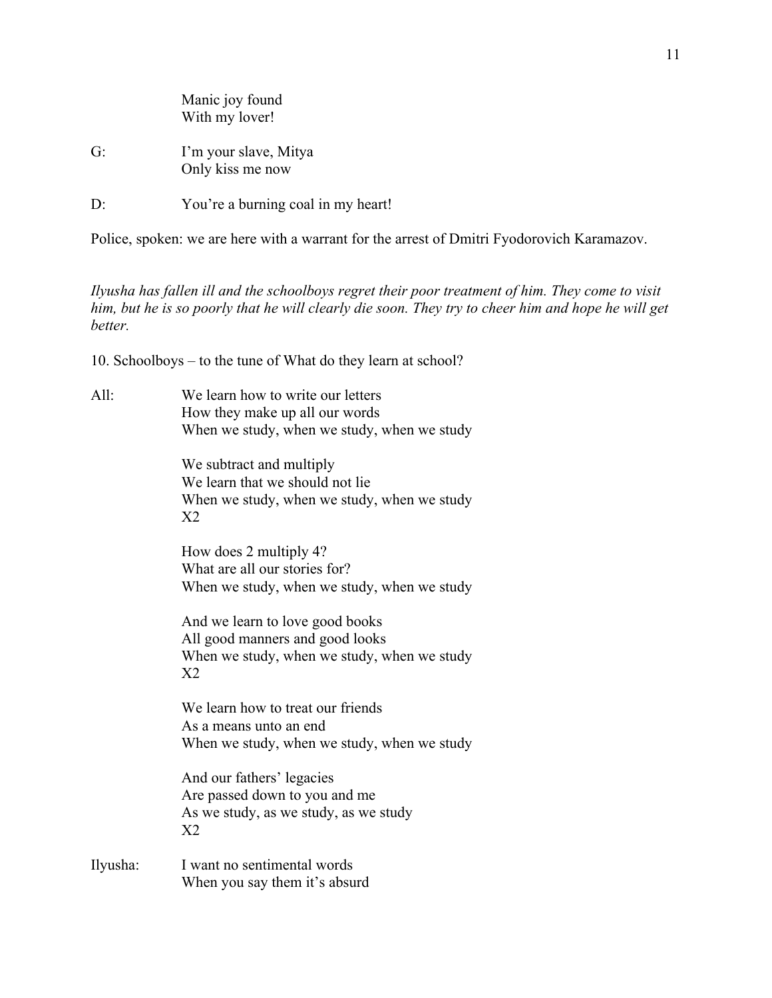|                 | Manic joy found<br>With my lover!         |  |
|-----------------|-------------------------------------------|--|
| G:              | I'm your slave, Mitya<br>Only kiss me now |  |
| $\cdot$ $\cdot$ | You're a burning coal in my heart!        |  |

Police, spoken: we are here with a warrant for the arrest of Dmitri Fyodorovich Karamazov.

*Ilyusha has fallen ill and the schoolboys regret their poor treatment of him. They come to visit him, but he is so poorly that he will clearly die soon. They try to cheer him and hope he will get better.* 

10. Schoolboys – to the tune of What do they learn at school?

| All: | We learn how to write our letters           |
|------|---------------------------------------------|
|      | How they make up all our words              |
|      | When we study, when we study, when we study |
|      |                                             |

We subtract and multiply We learn that we should not lie When we study, when we study, when we study X2

How does 2 multiply 4? What are all our stories for? When we study, when we study, when we study

And we learn to love good books All good manners and good looks When we study, when we study, when we study X2

We learn how to treat our friends As a means unto an end When we study, when we study, when we study

And our fathers' legacies Are passed down to you and me As we study, as we study, as we study X2

Ilyusha: I want no sentimental words When you say them it's absurd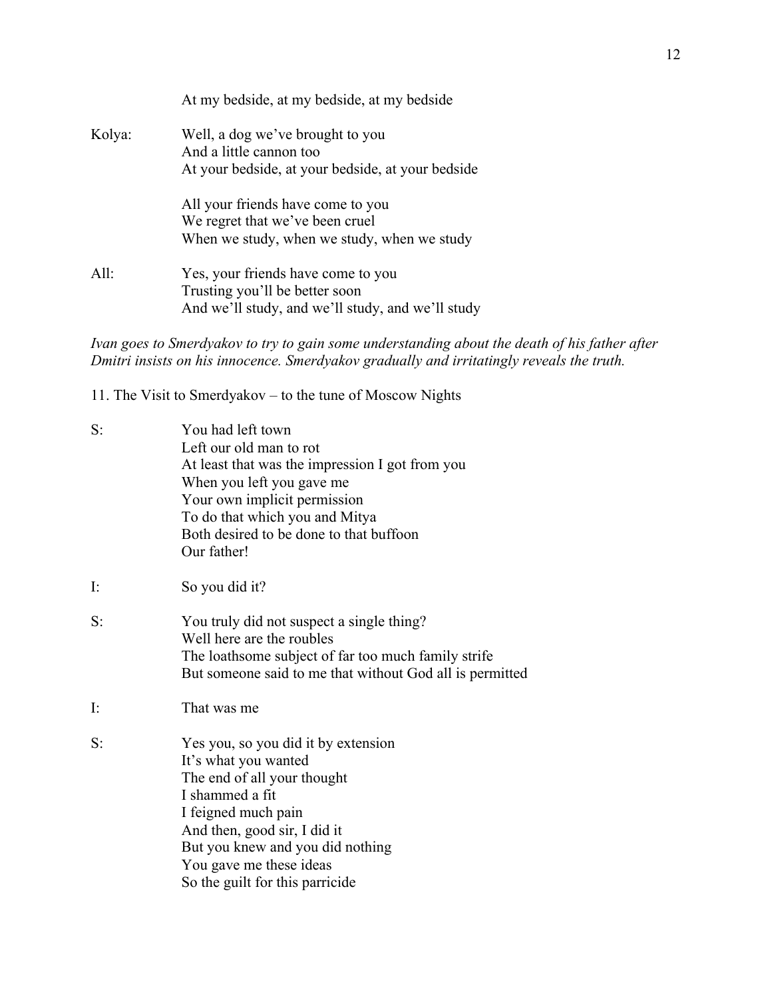|        | At my bedside, at my bedside, at my bedside                                         |
|--------|-------------------------------------------------------------------------------------|
| Kolya: | Well, a dog we've brought to you<br>And a little cannon too                         |
|        | At your bedside, at your bedside, at your bedside                                   |
|        | All your friends have come to you                                                   |
|        | We regret that we've been cruel                                                     |
|        | When we study, when we study, when we study                                         |
| All:   | Yes, your friends have come to you                                                  |
|        | Trusting you'll be better soon<br>And we'll study, and we'll study, and we'll study |
|        |                                                                                     |

*Ivan goes to Smerdyakov to try to gain some understanding about the death of his father after Dmitri insists on his innocence. Smerdyakov gradually and irritatingly reveals the truth.* 

11. The Visit to Smerdyakov – to the tune of Moscow Nights

| S:             | You had left town<br>Left our old man to rot<br>At least that was the impression I got from you<br>When you left you gave me<br>Your own implicit permission<br>To do that which you and Mitya<br>Both desired to be done to that buffoon<br>Our father!               |
|----------------|------------------------------------------------------------------------------------------------------------------------------------------------------------------------------------------------------------------------------------------------------------------------|
| $\mathbf{I}$ : | So you did it?                                                                                                                                                                                                                                                         |
| S:             | You truly did not suspect a single thing?<br>Well here are the roubles<br>The loathsome subject of far too much family strife<br>But someone said to me that without God all is permitted                                                                              |
| $\mathbf{I}$ : | That was me                                                                                                                                                                                                                                                            |
| S:             | Yes you, so you did it by extension<br>It's what you wanted<br>The end of all your thought<br>I shammed a fit<br>I feigned much pain<br>And then, good sir, I did it<br>But you knew and you did nothing<br>You gave me these ideas<br>So the guilt for this parricide |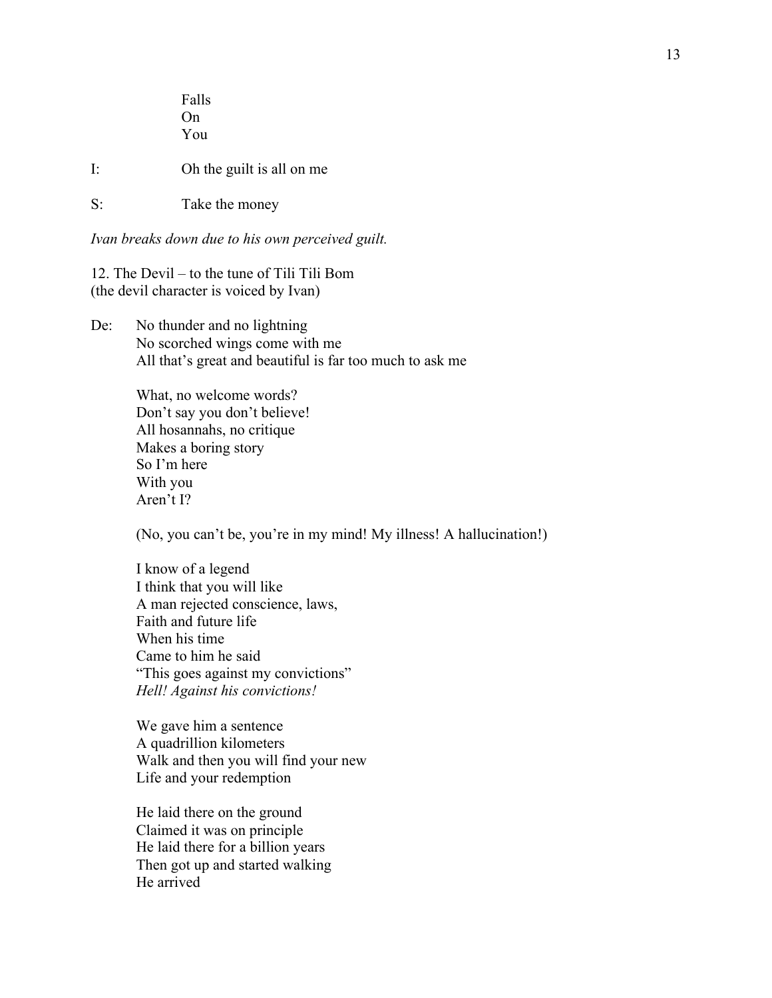Falls On You I: Oh the guilt is all on me S: Take the money

*Ivan breaks down due to his own perceived guilt.* 

12. The Devil – to the tune of Tili Tili Bom (the devil character is voiced by Ivan)

De: No thunder and no lightning No scorched wings come with me All that's great and beautiful is far too much to ask me

> What, no welcome words? Don't say you don't believe! All hosannahs, no critique Makes a boring story So I'm here With you Aren't I?

(No, you can't be, you're in my mind! My illness! A hallucination!)

I know of a legend I think that you will like A man rejected conscience, laws, Faith and future life When his time Came to him he said "This goes against my convictions" *Hell! Against his convictions!*

We gave him a sentence A quadrillion kilometers Walk and then you will find your new Life and your redemption

He laid there on the ground Claimed it was on principle He laid there for a billion years Then got up and started walking He arrived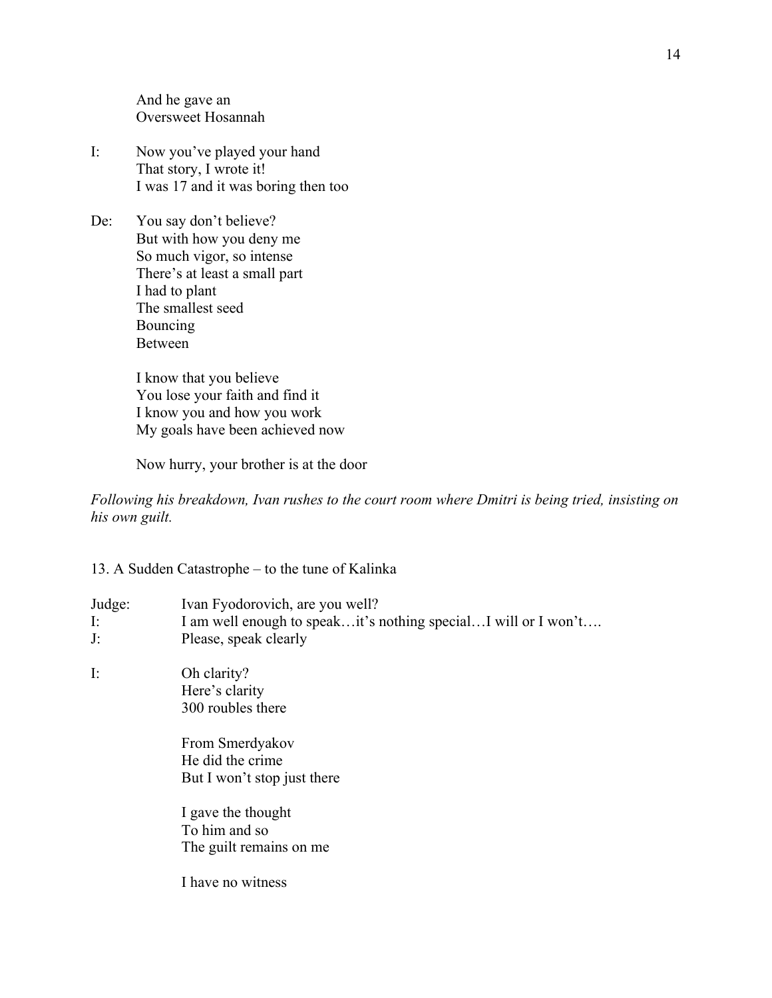And he gave an Oversweet Hosannah

- I: Now you've played your hand That story, I wrote it! I was 17 and it was boring then too
- De: You say don't believe? But with how you deny me So much vigor, so intense There's at least a small part I had to plant The smallest seed Bouncing Between

I know that you believe You lose your faith and find it I know you and how you work My goals have been achieved now

Now hurry, your brother is at the door

*Following his breakdown, Ivan rushes to the court room where Dmitri is being tried, insisting on his own guilt.*

## 13. A Sudden Catastrophe – to the tune of Kalinka

| Judge:         | Ivan Fyodorovich, are you well?                                                                                                                                                                                 |
|----------------|-----------------------------------------------------------------------------------------------------------------------------------------------------------------------------------------------------------------|
| I:             | I am well enough to speakit's nothing specialI will or I won't                                                                                                                                                  |
| J:             | Please, speak clearly                                                                                                                                                                                           |
| $\mathbf{I}$ : | Oh clarity?<br>Here's clarity<br>300 roubles there<br>From Smerdyakov<br>He did the crime<br>But I won't stop just there<br>I gave the thought<br>To him and so<br>The guilt remains on me<br>I have no witness |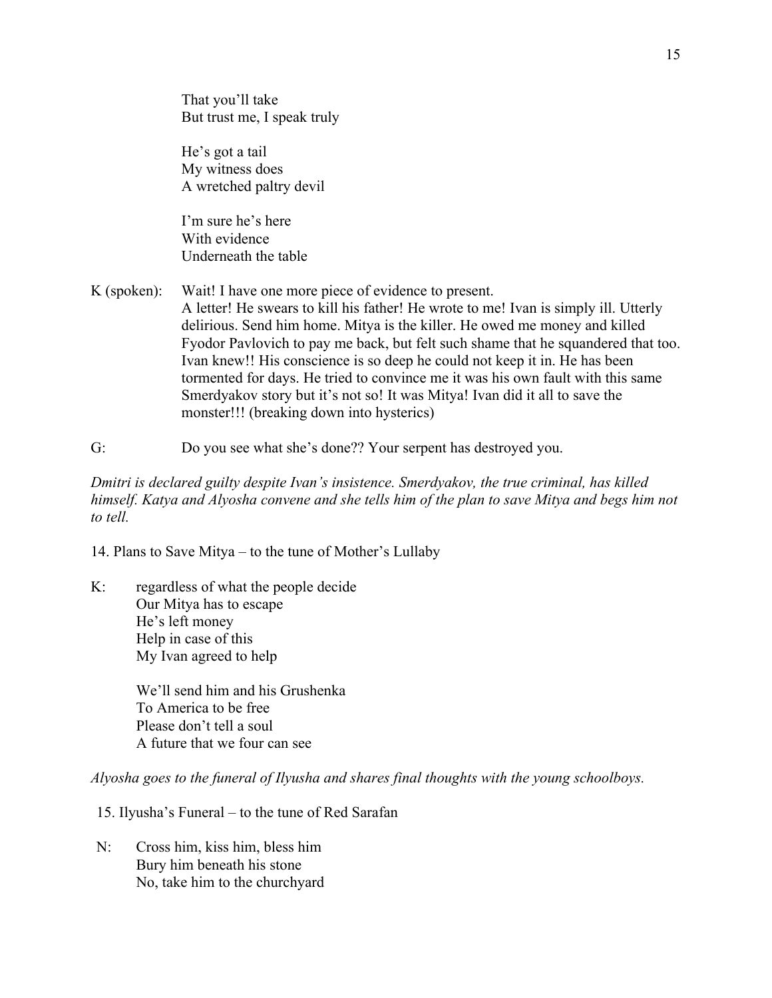That you'll take But trust me, I speak truly

He's got a tail My witness does A wretched paltry devil

I'm sure he's here With evidence Underneath the table

- K (spoken): Wait! I have one more piece of evidence to present. A letter! He swears to kill his father! He wrote to me! Ivan is simply ill. Utterly delirious. Send him home. Mitya is the killer. He owed me money and killed Fyodor Pavlovich to pay me back, but felt such shame that he squandered that too. Ivan knew!! His conscience is so deep he could not keep it in. He has been tormented for days. He tried to convince me it was his own fault with this same Smerdyakov story but it's not so! It was Mitya! Ivan did it all to save the monster!!! (breaking down into hysterics)
- G: Do you see what she's done?? Your serpent has destroyed you.

*Dmitri is declared guilty despite Ivan's insistence. Smerdyakov, the true criminal, has killed himself. Katya and Alyosha convene and she tells him of the plan to save Mitya and begs him not to tell.* 

14. Plans to Save Mitya – to the tune of Mother's Lullaby

K: regardless of what the people decide Our Mitya has to escape He's left money Help in case of this My Ivan agreed to help

> We'll send him and his Grushenka To America to be free Please don't tell a soul A future that we four can see

*Alyosha goes to the funeral of Ilyusha and shares final thoughts with the young schoolboys.* 

15. Ilyusha's Funeral – to the tune of Red Sarafan

N: Cross him, kiss him, bless him Bury him beneath his stone No, take him to the churchyard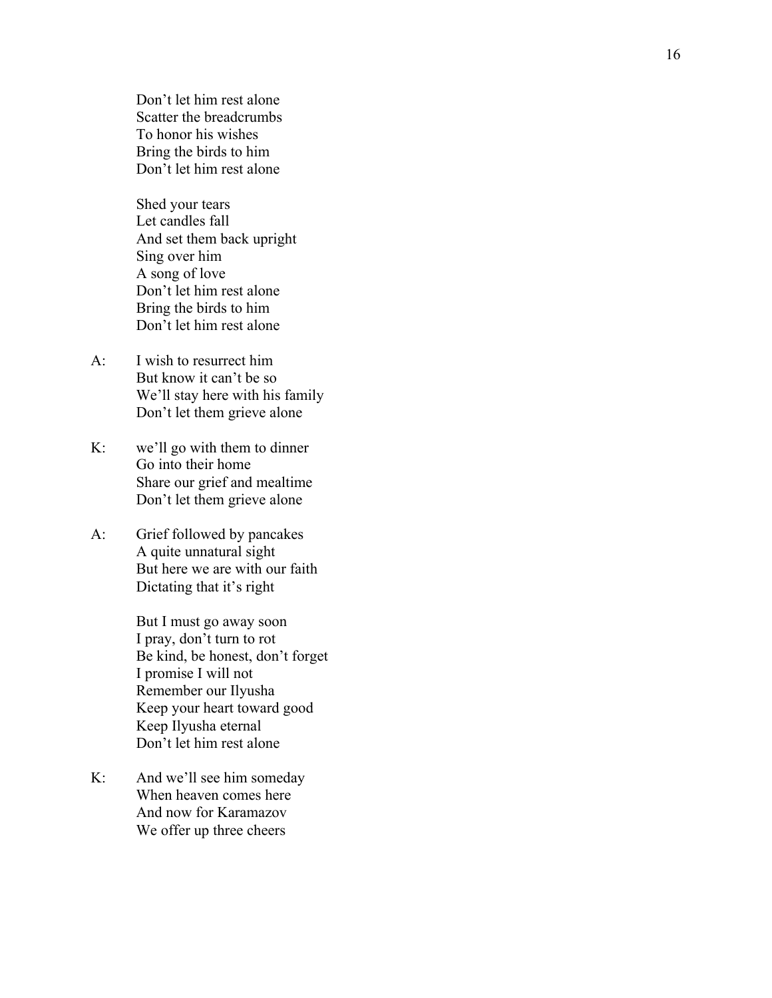Don't let him rest alone Scatter the breadcrumbs To honor his wishes Bring the birds to him Don't let him rest alone

Shed your tears Let candles fall And set them back upright Sing over him A song of love Don't let him rest alone Bring the birds to him Don't let him rest alone

- A: I wish to resurrect him But know it can't be so We'll stay here with his family Don't let them grieve alone
- K: we'll go with them to dinner Go into their home Share our grief and mealtime Don't let them grieve alone
- A: Grief followed by pancakes A quite unnatural sight But here we are with our faith Dictating that it's right

But I must go away soon I pray, don't turn to rot Be kind, be honest, don't forget I promise I will not Remember our Ilyusha Keep your heart toward good Keep Ilyusha eternal Don't let him rest alone

K: And we'll see him someday When heaven comes here And now for Karamazov We offer up three cheers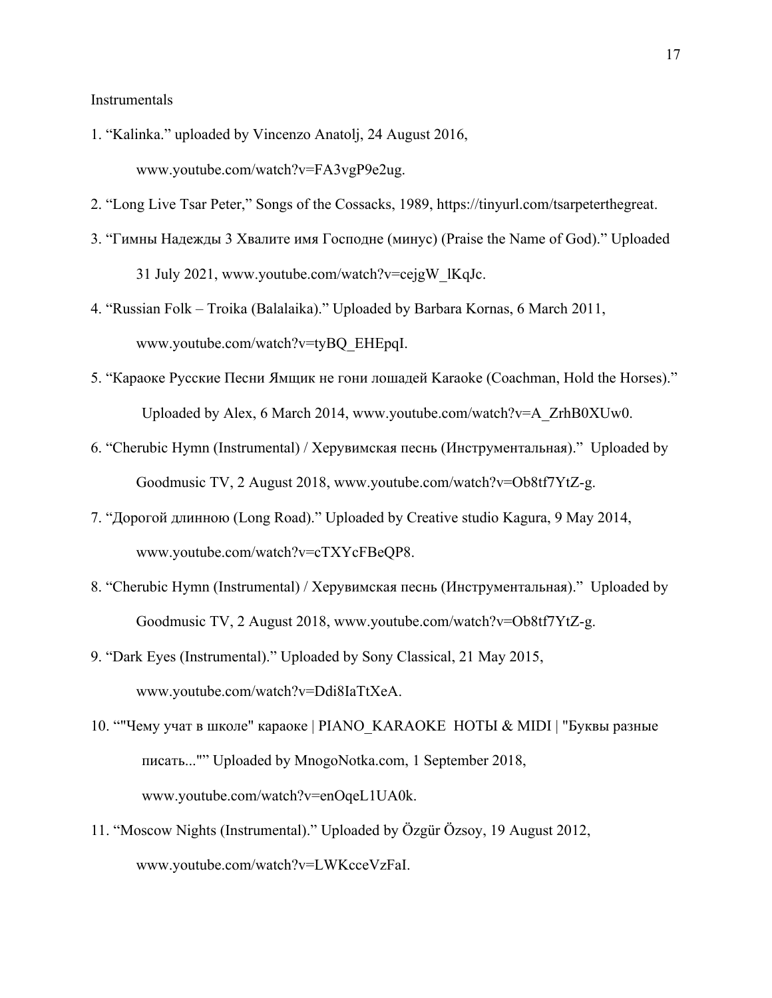Instrumentals

- 1. "Kalinka." uploaded by Vincenzo Anatolj, 24 August 2016, www.youtube.com/watch?v=FA3vgP9e2ug.
- 2. "Long Live Tsar Peter," Songs of the Cossacks, 1989, https://tinyurl.com/tsarpeterthegreat.
- 3. "Гимны Надежды 3 Хвалите имя Господне (минус) (Praise the Name of God)." Uploaded 31 July 2021, www.youtube.com/watch?v=cejgW\_lKqJc.
- 4. "Russian Folk Troika (Balalaika)." Uploaded by Barbara Kornas, 6 March 2011, www.youtube.com/watch?v=tyBQ\_EHEpqI.
- 5. "Караоке Русские Песни Ямщик не гони лошадей Karaoke (Coachman, Hold the Horses)." Uploaded by Alex, 6 March 2014, www.youtube.com/watch?v=A\_ZrhB0XUw0.
- 6. "Cherubic Hymn (Instrumental) / Херувимская песнь (Инструментальная)." Uploaded by Goodmusic TV, 2 August 2018, www.youtube.com/watch?v=Ob8tf7YtZ-g.
- 7. "Дорогой длинною (Long Road)." Uploaded by Creative studio Kagura, 9 May 2014, www.youtube.com/watch?v=cTXYcFBeQP8.
- 8. "Cherubic Hymn (Instrumental) / Херувимская песнь (Инструментальная)." Uploaded by Goodmusic TV, 2 August 2018, www.youtube.com/watch?v=Ob8tf7YtZ-g.
- 9. "Dark Eyes (Instrumental)." Uploaded by Sony Classical, 21 May 2015, www.youtube.com/watch?v=Ddi8IaTtXeA.
- 10. ""Чему учат в школе" караоке | PIANO\_KARAOKE НОТЫ & MIDI | "Буквы разные писать..."" Uploaded by MnogoNotka.com, 1 September 2018, www.youtube.com/watch?v=enOqeL1UA0k.
- 11. "Moscow Nights (Instrumental)." Uploaded by Özgür Özsoy, 19 August 2012, www.youtube.com/watch?v=LWKcceVzFaI.